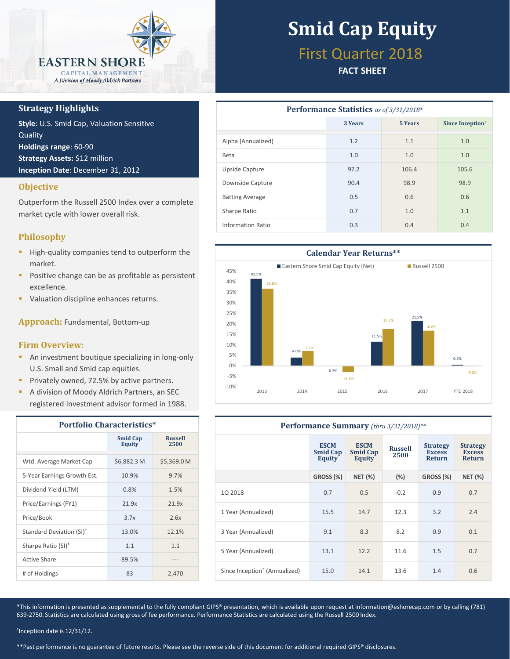

## **Strategy Highlights**

**Style**: U.S. Smid Cap, Valuation Sensitive **Quality Holdings range**: 60-90 **Strategy Assets:** \$12 million **Inception Date**: December 31, 2012

## **Objective**

Outperform the Russell 2500 Index over a complete market cycle with lower overall risk.

# **Philosophy**

- **High-quality companies tend to outperform the** market.
- **Positive change can be as profitable as persistent** excellence.
- **Valuation discipline enhances returns.**

**Approach:** Fundamental, Bottom-up

## **Firm Overview:**

- **An investment boutique specializing in long-only** U.S. Small and Smid cap equities.
- **Privately owned, 72.5% by active partners.**
- **A division of Moody Aldrich Partners, an SEC** registered investment advisor formed in 1988.

| <b>Portfolio Characteristics*</b>    |                                  |                        |  |  |  |
|--------------------------------------|----------------------------------|------------------------|--|--|--|
|                                      | <b>Smid Cap</b><br><b>Equity</b> | <b>Russell</b><br>2500 |  |  |  |
| Wtd. Average Market Cap              | \$6,882.3 M                      | \$5,369.0 M            |  |  |  |
| 5-Year Earnings Growth Est.          | 10.9%                            | 9.7%                   |  |  |  |
| Dividend Yield (LTM)                 | 0.8%                             | 1.5%                   |  |  |  |
| Price/Earnings (FY1)                 | 21.9x                            | 21.9x                  |  |  |  |
| Price/Book                           | 3.7x                             | 2.6x                   |  |  |  |
| Standard Deviation (SI) <sup>†</sup> | 13.0%                            | 12.1%                  |  |  |  |
| Sharpe Ratio (SI) <sup>+</sup>       | 1.1                              | 1.1                    |  |  |  |
| Active Share                         | 89.5%                            |                        |  |  |  |
| # of Holdings                        | 83                               | 2,470                  |  |  |  |

# **Smid Cap Equity**

# First Quarter 2018

# **FACT SHEET**

| <b>Performance Statistics</b> as of 3/31/2018* |                           |       |                              |  |  |  |  |
|------------------------------------------------|---------------------------|-------|------------------------------|--|--|--|--|
|                                                | 3 Years<br><b>5 Years</b> |       | Since Inception <sup>†</sup> |  |  |  |  |
| Alpha (Annualized)                             | 1.2                       | 1.1   | 1.0                          |  |  |  |  |
| Beta                                           | 1.0                       | 1.0   | 1.0                          |  |  |  |  |
| Upside Capture                                 | 97.2                      | 106.4 | 105.6                        |  |  |  |  |
| Downside Capture                               | 90.4                      | 98.9  | 98.9                         |  |  |  |  |
| <b>Batting Average</b>                         | 0.5                       | 0.6   | 0.6                          |  |  |  |  |
| Sharpe Ratio                                   | 0.7                       | 1.0   | 1.1                          |  |  |  |  |
| Information Ratio                              | 0.3                       | 0.4   | 0.4                          |  |  |  |  |



| Performance Summary (thru 3/31/2018)**    |                                          |                                          |                        |                                                   |                                                   |  |  |
|-------------------------------------------|------------------------------------------|------------------------------------------|------------------------|---------------------------------------------------|---------------------------------------------------|--|--|
|                                           | <b>ESCM</b><br><b>Smid Cap</b><br>Equity | <b>ESCM</b><br><b>Smid Cap</b><br>Equity | <b>Russell</b><br>2500 | <b>Strategy</b><br><b>Excess</b><br><b>Return</b> | <b>Strategy</b><br><b>Excess</b><br><b>Return</b> |  |  |
|                                           | GROSS <sub>(%)</sub>                     | <b>NET (%)</b>                           | (%)                    | GROSS (%)                                         | <b>NET (%)</b>                                    |  |  |
| 1Q 2018                                   | 0.7                                      | 0.5                                      | $-0.2$                 | 0.9                                               | 0.7                                               |  |  |
| 1 Year (Annualized)                       | 15.5                                     | 14.7                                     | 12.3                   | 3.2                                               | 2.4                                               |  |  |
| 3 Year (Annualized)                       | 9.1                                      | 8.3                                      | 8.2                    | 0.9                                               | 0.1                                               |  |  |
| 5 Year (Annualized)                       | 13.1                                     | 12.2                                     | 11.6                   | 1.5                                               | 0.7                                               |  |  |
| Since Inception <sup>†</sup> (Annualized) | 15.0                                     | 14.1                                     | 13.6                   | 1.4                                               | 0.6                                               |  |  |

\*This information is presented as supplemental to the fully compliant GIPS® presentation, which is available upon request at information@eshorecap.com or by calling (781) 639-2750. Statistics are calculated using gross of fee performance. Performance Statistics are calculated using the Russell 2500 Index.

† Inception date is 12/31/12.

\*\*Past performance is no guarantee of future results. Please see the reverse side of this document for additional required GIPS® disclosures.